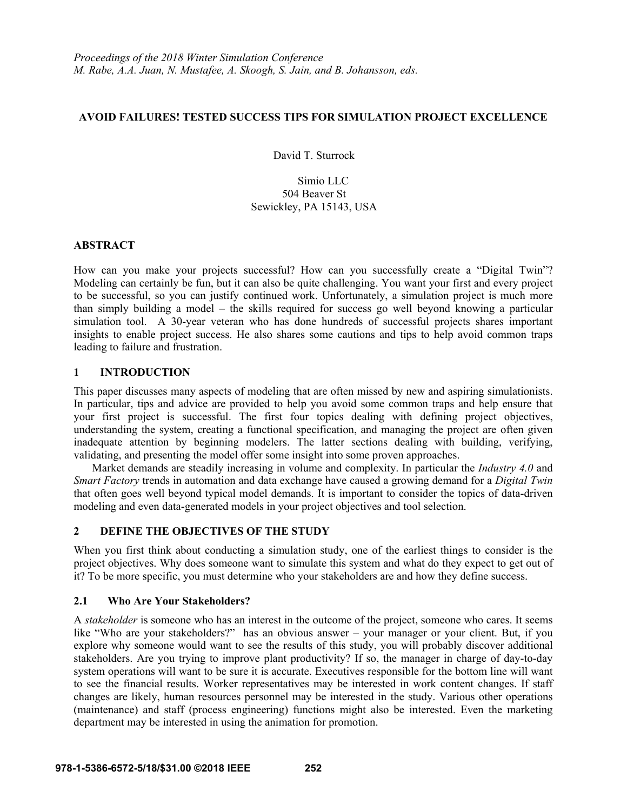# **AVOID FAILURES! TESTED SUCCESS TIPS FOR SIMULATION PROJECT EXCELLENCE**

David T. Sturrock

# Simio LLC 504 Beaver St Sewickley, PA 15143, USA

# **ABSTRACT**

How can you make your projects successful? How can you successfully create a "Digital Twin"? Modeling can certainly be fun, but it can also be quite challenging. You want your first and every project to be successful, so you can justify continued work. Unfortunately, a simulation project is much more than simply building a model – the skills required for success go well beyond knowing a particular simulation tool. A 30-year veteran who has done hundreds of successful projects shares important insights to enable project success. He also shares some cautions and tips to help avoid common traps leading to failure and frustration.

# **1 INTRODUCTION**

This paper discusses many aspects of modeling that are often missed by new and aspiring simulationists. In particular, tips and advice are provided to help you avoid some common traps and help ensure that your first project is successful. The first four topics dealing with defining project objectives, understanding the system, creating a functional specification, and managing the project are often given inadequate attention by beginning modelers. The latter sections dealing with building, verifying, validating, and presenting the model offer some insight into some proven approaches.

Market demands are steadily increasing in volume and complexity. In particular the *Industry 4.0* and *Smart Factory* trends in automation and data exchange have caused a growing demand for a *Digital Twin* that often goes well beyond typical model demands. It is important to consider the topics of data-driven modeling and even data-generated models in your project objectives and tool selection.

# **2 DEFINE THE OBJECTIVES OF THE STUDY**

When you first think about conducting a simulation study, one of the earliest things to consider is the project objectives. Why does someone want to simulate this system and what do they expect to get out of it? To be more specific, you must determine who your stakeholders are and how they define success.

# **2.1 Who Are Your Stakeholders?**

A *stakeholder* is someone who has an interest in the outcome of the project, someone who cares. It seems like "Who are your stakeholders?" has an obvious answer – your manager or your client. But, if you explore why someone would want to see the results of this study, you will probably discover additional stakeholders. Are you trying to improve plant productivity? If so, the manager in charge of day-to-day system operations will want to be sure it is accurate. Executives responsible for the bottom line will want to see the financial results. Worker representatives may be interested in work content changes. If staff changes are likely, human resources personnel may be interested in the study. Various other operations (maintenance) and staff (process engineering) functions might also be interested. Even the marketing department may be interested in using the animation for promotion.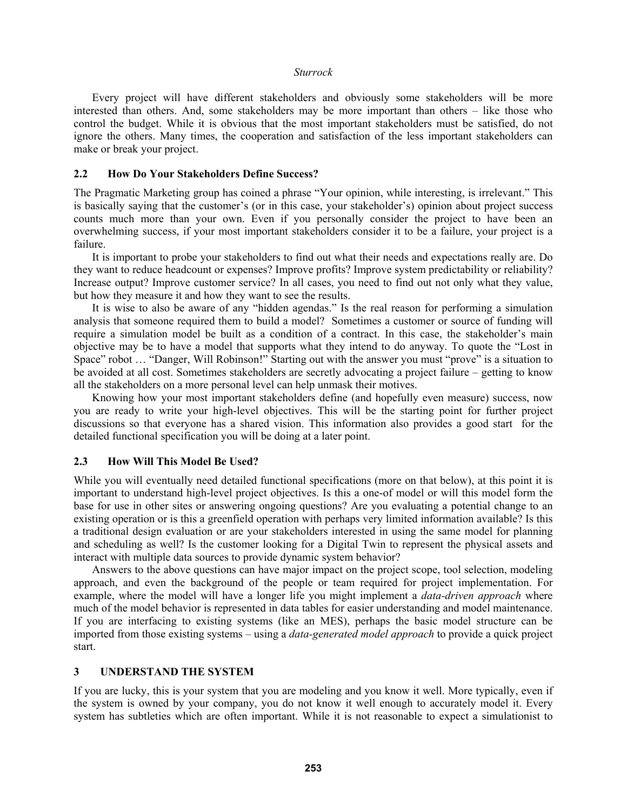Every project will have different stakeholders and obviously some stakeholders will be more interested than others. And, some stakeholders may be more important than others – like those who control the budget. While it is obvious that the most important stakeholders must be satisfied, do not ignore the others. Many times, the cooperation and satisfaction of the less important stakeholders can make or break your project.

### **2.2 How Do Your Stakeholders Define Success?**

The Pragmatic Marketing group has coined a phrase "Your opinion, while interesting, is irrelevant." This is basically saying that the customer's (or in this case, your stakeholder's) opinion about project success counts much more than your own. Even if you personally consider the project to have been an overwhelming success, if your most important stakeholders consider it to be a failure, your project is a failure.

It is important to probe your stakeholders to find out what their needs and expectations really are. Do they want to reduce headcount or expenses? Improve profits? Improve system predictability or reliability? Increase output? Improve customer service? In all cases, you need to find out not only what they value, but how they measure it and how they want to see the results.

It is wise to also be aware of any "hidden agendas." Is the real reason for performing a simulation analysis that someone required them to build a model? Sometimes a customer or source of funding will require a simulation model be built as a condition of a contract. In this case, the stakeholder's main objective may be to have a model that supports what they intend to do anyway. To quote the "Lost in Space" robot … "Danger, Will Robinson!" Starting out with the answer you must "prove" is a situation to be avoided at all cost. Sometimes stakeholders are secretly advocating a project failure – getting to know all the stakeholders on a more personal level can help unmask their motives.

Knowing how your most important stakeholders define (and hopefully even measure) success, now you are ready to write your high-level objectives. This will be the starting point for further project discussions so that everyone has a shared vision. This information also provides a good start for the detailed functional specification you will be doing at a later point.

## **2.3 How Will This Model Be Used?**

While you will eventually need detailed functional specifications (more on that below), at this point it is important to understand high-level project objectives. Is this a one-of model or will this model form the base for use in other sites or answering ongoing questions? Are you evaluating a potential change to an existing operation or is this a greenfield operation with perhaps very limited information available? Is this a traditional design evaluation or are your stakeholders interested in using the same model for planning and scheduling as well? Is the customer looking for a Digital Twin to represent the physical assets and interact with multiple data sources to provide dynamic system behavior?

Answers to the above questions can have major impact on the project scope, tool selection, modeling approach, and even the background of the people or team required for project implementation. For example, where the model will have a longer life you might implement a *data-driven approach* where much of the model behavior is represented in data tables for easier understanding and model maintenance. If you are interfacing to existing systems (like an MES), perhaps the basic model structure can be imported from those existing systems – using a *data-generated model approach* to provide a quick project start.

### **3 UNDERSTAND THE SYSTEM**

If you are lucky, this is your system that you are modeling and you know it well. More typically, even if the system is owned by your company, you do not know it well enough to accurately model it. Every system has subtleties which are often important. While it is not reasonable to expect a simulationist to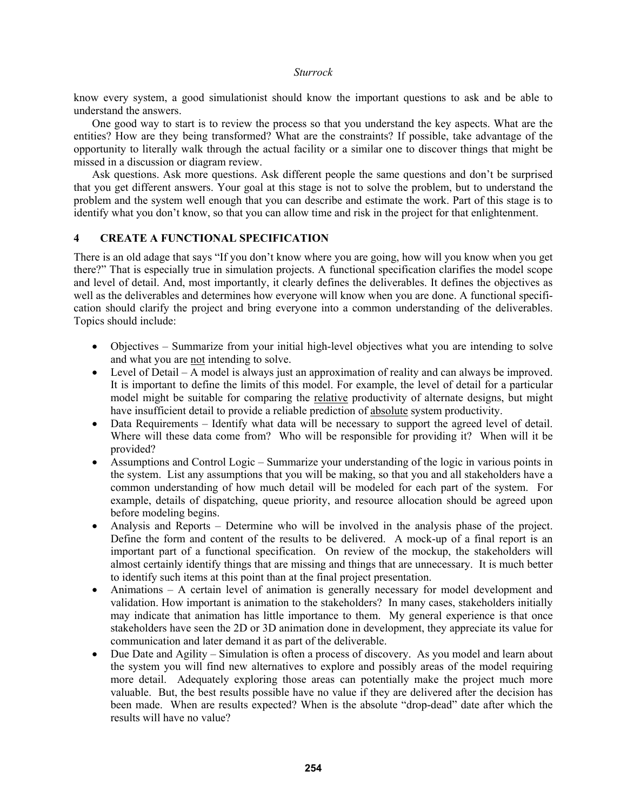know every system, a good simulationist should know the important questions to ask and be able to understand the answers.

One good way to start is to review the process so that you understand the key aspects. What are the entities? How are they being transformed? What are the constraints? If possible, take advantage of the opportunity to literally walk through the actual facility or a similar one to discover things that might be missed in a discussion or diagram review.

Ask questions. Ask more questions. Ask different people the same questions and don't be surprised that you get different answers. Your goal at this stage is not to solve the problem, but to understand the problem and the system well enough that you can describe and estimate the work. Part of this stage is to identify what you don't know, so that you can allow time and risk in the project for that enlightenment.

## **4 CREATE A FUNCTIONAL SPECIFICATION**

There is an old adage that says "If you don't know where you are going, how will you know when you get there?" That is especially true in simulation projects. A functional specification clarifies the model scope and level of detail. And, most importantly, it clearly defines the deliverables. It defines the objectives as well as the deliverables and determines how everyone will know when you are done. A functional specification should clarify the project and bring everyone into a common understanding of the deliverables. Topics should include:

- Objectives Summarize from your initial high-level objectives what you are intending to solve and what you are not intending to solve.
- Level of Detail A model is always just an approximation of reality and can always be improved. It is important to define the limits of this model. For example, the level of detail for a particular model might be suitable for comparing the relative productivity of alternate designs, but might have insufficient detail to provide a reliable prediction of absolute system productivity.
- Data Requirements Identify what data will be necessary to support the agreed level of detail. Where will these data come from? Who will be responsible for providing it? When will it be provided?
- Assumptions and Control Logic Summarize your understanding of the logic in various points in the system. List any assumptions that you will be making, so that you and all stakeholders have a common understanding of how much detail will be modeled for each part of the system. For example, details of dispatching, queue priority, and resource allocation should be agreed upon before modeling begins.
- Analysis and Reports Determine who will be involved in the analysis phase of the project. Define the form and content of the results to be delivered. A mock-up of a final report is an important part of a functional specification. On review of the mockup, the stakeholders will almost certainly identify things that are missing and things that are unnecessary. It is much better to identify such items at this point than at the final project presentation.
- Animations A certain level of animation is generally necessary for model development and validation. How important is animation to the stakeholders? In many cases, stakeholders initially may indicate that animation has little importance to them. My general experience is that once stakeholders have seen the 2D or 3D animation done in development, they appreciate its value for communication and later demand it as part of the deliverable.
- Due Date and Agility Simulation is often a process of discovery. As you model and learn about the system you will find new alternatives to explore and possibly areas of the model requiring more detail. Adequately exploring those areas can potentially make the project much more valuable. But, the best results possible have no value if they are delivered after the decision has been made. When are results expected? When is the absolute "drop-dead" date after which the results will have no value?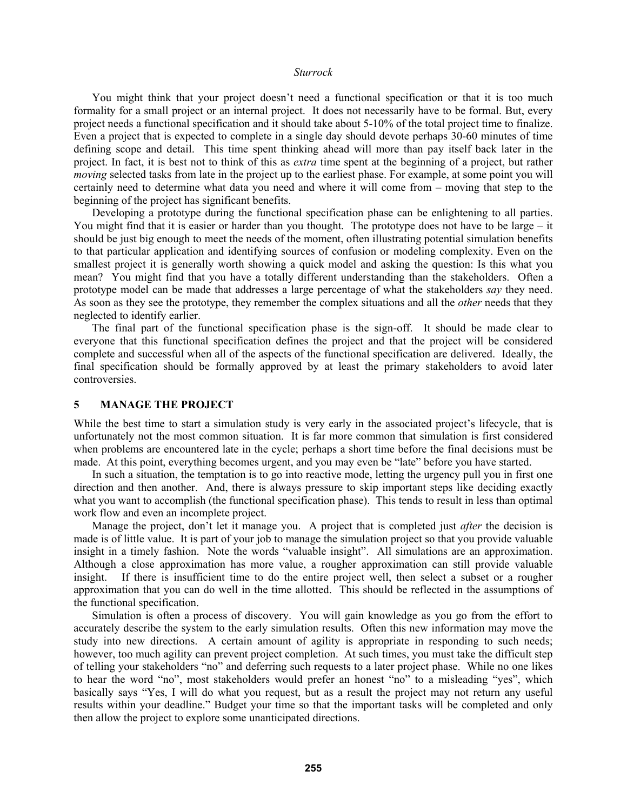You might think that your project doesn't need a functional specification or that it is too much formality for a small project or an internal project. It does not necessarily have to be formal. But, every project needs a functional specification and it should take about 5-10% of the total project time to finalize. Even a project that is expected to complete in a single day should devote perhaps 30-60 minutes of time defining scope and detail. This time spent thinking ahead will more than pay itself back later in the project. In fact, it is best not to think of this as *extra* time spent at the beginning of a project, but rather *moving* selected tasks from late in the project up to the earliest phase. For example, at some point you will certainly need to determine what data you need and where it will come from – moving that step to the beginning of the project has significant benefits.

Developing a prototype during the functional specification phase can be enlightening to all parties. You might find that it is easier or harder than you thought. The prototype does not have to be large – it should be just big enough to meet the needs of the moment, often illustrating potential simulation benefits to that particular application and identifying sources of confusion or modeling complexity. Even on the smallest project it is generally worth showing a quick model and asking the question: Is this what you mean? You might find that you have a totally different understanding than the stakeholders. Often a prototype model can be made that addresses a large percentage of what the stakeholders *say* they need. As soon as they see the prototype, they remember the complex situations and all the *other* needs that they neglected to identify earlier.

The final part of the functional specification phase is the sign-off. It should be made clear to everyone that this functional specification defines the project and that the project will be considered complete and successful when all of the aspects of the functional specification are delivered. Ideally, the final specification should be formally approved by at least the primary stakeholders to avoid later controversies.

### **5 MANAGE THE PROJECT**

While the best time to start a simulation study is very early in the associated project's lifecycle, that is unfortunately not the most common situation. It is far more common that simulation is first considered when problems are encountered late in the cycle; perhaps a short time before the final decisions must be made. At this point, everything becomes urgent, and you may even be "late" before you have started.

In such a situation, the temptation is to go into reactive mode, letting the urgency pull you in first one direction and then another. And, there is always pressure to skip important steps like deciding exactly what you want to accomplish (the functional specification phase). This tends to result in less than optimal work flow and even an incomplete project.

Manage the project, don't let it manage you. A project that is completed just *after* the decision is made is of little value. It is part of your job to manage the simulation project so that you provide valuable insight in a timely fashion. Note the words "valuable insight". All simulations are an approximation. Although a close approximation has more value, a rougher approximation can still provide valuable insight. If there is insufficient time to do the entire project well, then select a subset or a rougher approximation that you can do well in the time allotted. This should be reflected in the assumptions of the functional specification.

Simulation is often a process of discovery. You will gain knowledge as you go from the effort to accurately describe the system to the early simulation results. Often this new information may move the study into new directions. A certain amount of agility is appropriate in responding to such needs; however, too much agility can prevent project completion. At such times, you must take the difficult step of telling your stakeholders "no" and deferring such requests to a later project phase. While no one likes to hear the word "no", most stakeholders would prefer an honest "no" to a misleading "yes", which basically says "Yes, I will do what you request, but as a result the project may not return any useful results within your deadline." Budget your time so that the important tasks will be completed and only then allow the project to explore some unanticipated directions.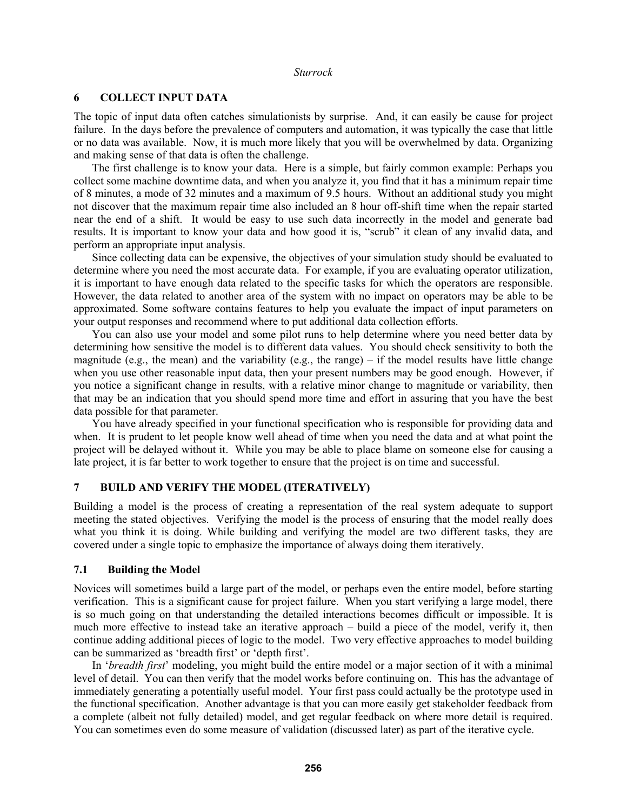## **6 COLLECT INPUT DATA**

The topic of input data often catches simulationists by surprise. And, it can easily be cause for project failure. In the days before the prevalence of computers and automation, it was typically the case that little or no data was available. Now, it is much more likely that you will be overwhelmed by data. Organizing and making sense of that data is often the challenge.

The first challenge is to know your data. Here is a simple, but fairly common example: Perhaps you collect some machine downtime data, and when you analyze it, you find that it has a minimum repair time of 8 minutes, a mode of 32 minutes and a maximum of 9.5 hours. Without an additional study you might not discover that the maximum repair time also included an 8 hour off-shift time when the repair started near the end of a shift. It would be easy to use such data incorrectly in the model and generate bad results. It is important to know your data and how good it is, "scrub" it clean of any invalid data, and perform an appropriate input analysis.

Since collecting data can be expensive, the objectives of your simulation study should be evaluated to determine where you need the most accurate data. For example, if you are evaluating operator utilization, it is important to have enough data related to the specific tasks for which the operators are responsible. However, the data related to another area of the system with no impact on operators may be able to be approximated. Some software contains features to help you evaluate the impact of input parameters on your output responses and recommend where to put additional data collection efforts.

You can also use your model and some pilot runs to help determine where you need better data by determining how sensitive the model is to different data values. You should check sensitivity to both the magnitude (e.g., the mean) and the variability (e.g., the range) – if the model results have little change when you use other reasonable input data, then your present numbers may be good enough. However, if you notice a significant change in results, with a relative minor change to magnitude or variability, then that may be an indication that you should spend more time and effort in assuring that you have the best data possible for that parameter.

You have already specified in your functional specification who is responsible for providing data and when. It is prudent to let people know well ahead of time when you need the data and at what point the project will be delayed without it. While you may be able to place blame on someone else for causing a late project, it is far better to work together to ensure that the project is on time and successful.

## **7 BUILD AND VERIFY THE MODEL (ITERATIVELY)**

Building a model is the process of creating a representation of the real system adequate to support meeting the stated objectives. Verifying the model is the process of ensuring that the model really does what you think it is doing. While building and verifying the model are two different tasks, they are covered under a single topic to emphasize the importance of always doing them iteratively.

### **7.1 Building the Model**

Novices will sometimes build a large part of the model, or perhaps even the entire model, before starting verification. This is a significant cause for project failure. When you start verifying a large model, there is so much going on that understanding the detailed interactions becomes difficult or impossible. It is much more effective to instead take an iterative approach – build a piece of the model, verify it, then continue adding additional pieces of logic to the model. Two very effective approaches to model building can be summarized as 'breadth first' or 'depth first'.

In '*breadth first*' modeling, you might build the entire model or a major section of it with a minimal level of detail. You can then verify that the model works before continuing on. This has the advantage of immediately generating a potentially useful model. Your first pass could actually be the prototype used in the functional specification. Another advantage is that you can more easily get stakeholder feedback from a complete (albeit not fully detailed) model, and get regular feedback on where more detail is required. You can sometimes even do some measure of validation (discussed later) as part of the iterative cycle.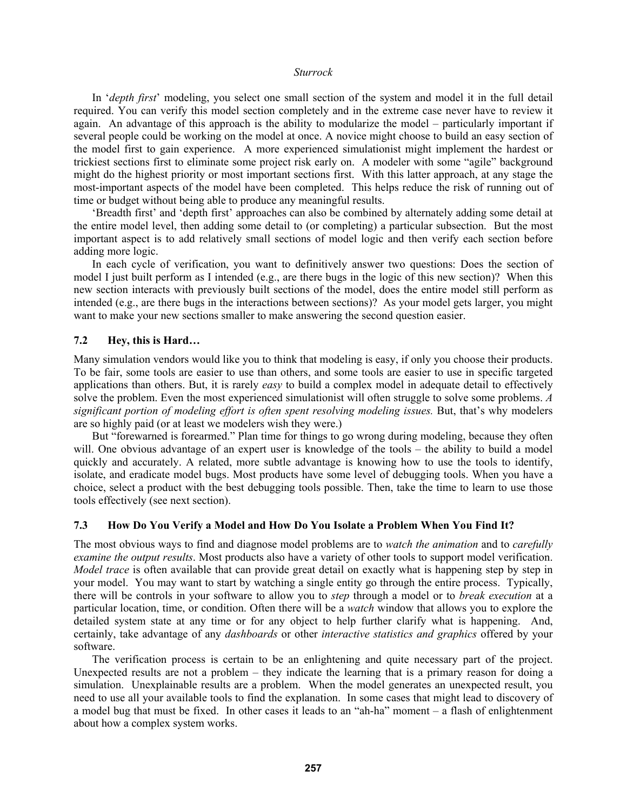In '*depth first*' modeling, you select one small section of the system and model it in the full detail required. You can verify this model section completely and in the extreme case never have to review it again. An advantage of this approach is the ability to modularize the model – particularly important if several people could be working on the model at once. A novice might choose to build an easy section of the model first to gain experience. A more experienced simulationist might implement the hardest or trickiest sections first to eliminate some project risk early on. A modeler with some "agile" background might do the highest priority or most important sections first. With this latter approach, at any stage the most-important aspects of the model have been completed. This helps reduce the risk of running out of time or budget without being able to produce any meaningful results.

'Breadth first' and 'depth first' approaches can also be combined by alternately adding some detail at the entire model level, then adding some detail to (or completing) a particular subsection. But the most important aspect is to add relatively small sections of model logic and then verify each section before adding more logic.

In each cycle of verification, you want to definitively answer two questions: Does the section of model I just built perform as I intended (e.g., are there bugs in the logic of this new section)? When this new section interacts with previously built sections of the model, does the entire model still perform as intended (e.g., are there bugs in the interactions between sections)? As your model gets larger, you might want to make your new sections smaller to make answering the second question easier.

## **7.2 Hey, this is Hard…**

Many simulation vendors would like you to think that modeling is easy, if only you choose their products. To be fair, some tools are easier to use than others, and some tools are easier to use in specific targeted applications than others. But, it is rarely *easy* to build a complex model in adequate detail to effectively solve the problem. Even the most experienced simulationist will often struggle to solve some problems. *A significant portion of modeling effort is often spent resolving modeling issues.* But, that's why modelers are so highly paid (or at least we modelers wish they were.)

But "forewarned is forearmed." Plan time for things to go wrong during modeling, because they often will. One obvious advantage of an expert user is knowledge of the tools – the ability to build a model quickly and accurately. A related, more subtle advantage is knowing how to use the tools to identify, isolate, and eradicate model bugs. Most products have some level of debugging tools. When you have a choice, select a product with the best debugging tools possible. Then, take the time to learn to use those tools effectively (see next section).

### **7.3 How Do You Verify a Model and How Do You Isolate a Problem When You Find It?**

The most obvious ways to find and diagnose model problems are to *watch the animation* and to *carefully examine the output results*. Most products also have a variety of other tools to support model verification. *Model trace* is often available that can provide great detail on exactly what is happening step by step in your model. You may want to start by watching a single entity go through the entire process. Typically, there will be controls in your software to allow you to *step* through a model or to *break execution* at a particular location, time, or condition. Often there will be a *watch* window that allows you to explore the detailed system state at any time or for any object to help further clarify what is happening. And, certainly, take advantage of any *dashboards* or other *interactive statistics and graphics* offered by your software.

The verification process is certain to be an enlightening and quite necessary part of the project. Unexpected results are not a problem – they indicate the learning that is a primary reason for doing a simulation. Unexplainable results are a problem. When the model generates an unexpected result, you need to use all your available tools to find the explanation. In some cases that might lead to discovery of a model bug that must be fixed. In other cases it leads to an "ah-ha" moment – a flash of enlightenment about how a complex system works.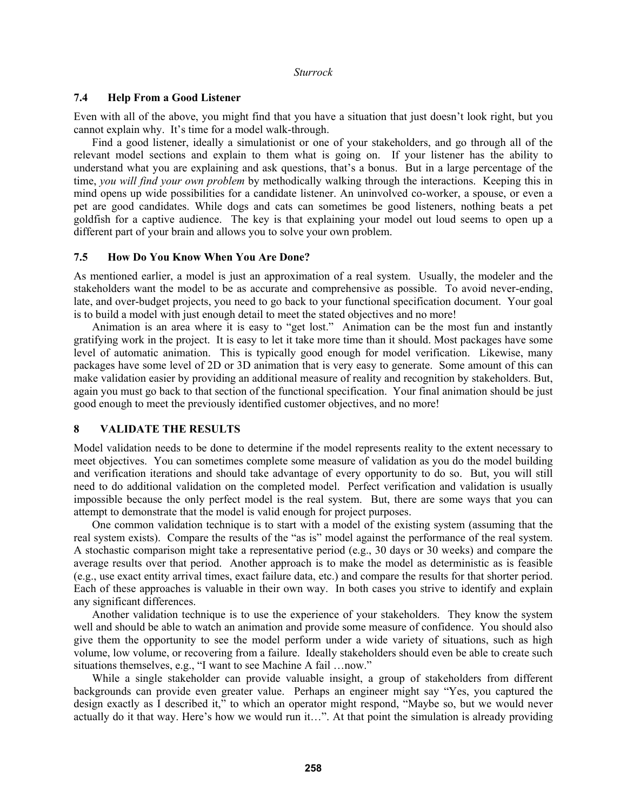## **7.4 Help From a Good Listener**

Even with all of the above, you might find that you have a situation that just doesn't look right, but you cannot explain why. It's time for a model walk-through.

Find a good listener, ideally a simulationist or one of your stakeholders, and go through all of the relevant model sections and explain to them what is going on. If your listener has the ability to understand what you are explaining and ask questions, that's a bonus. But in a large percentage of the time, *you will find your own problem* by methodically walking through the interactions. Keeping this in mind opens up wide possibilities for a candidate listener. An uninvolved co-worker, a spouse, or even a pet are good candidates. While dogs and cats can sometimes be good listeners, nothing beats a pet goldfish for a captive audience. The key is that explaining your model out loud seems to open up a different part of your brain and allows you to solve your own problem.

#### **7.5 How Do You Know When You Are Done?**

As mentioned earlier, a model is just an approximation of a real system. Usually, the modeler and the stakeholders want the model to be as accurate and comprehensive as possible. To avoid never-ending, late, and over-budget projects, you need to go back to your functional specification document. Your goal is to build a model with just enough detail to meet the stated objectives and no more!

Animation is an area where it is easy to "get lost." Animation can be the most fun and instantly gratifying work in the project. It is easy to let it take more time than it should. Most packages have some level of automatic animation. This is typically good enough for model verification. Likewise, many packages have some level of 2D or 3D animation that is very easy to generate. Some amount of this can make validation easier by providing an additional measure of reality and recognition by stakeholders. But, again you must go back to that section of the functional specification. Your final animation should be just good enough to meet the previously identified customer objectives, and no more!

#### **8 VALIDATE THE RESULTS**

Model validation needs to be done to determine if the model represents reality to the extent necessary to meet objectives. You can sometimes complete some measure of validation as you do the model building and verification iterations and should take advantage of every opportunity to do so. But, you will still need to do additional validation on the completed model. Perfect verification and validation is usually impossible because the only perfect model is the real system. But, there are some ways that you can attempt to demonstrate that the model is valid enough for project purposes.

One common validation technique is to start with a model of the existing system (assuming that the real system exists). Compare the results of the "as is" model against the performance of the real system. A stochastic comparison might take a representative period (e.g., 30 days or 30 weeks) and compare the average results over that period. Another approach is to make the model as deterministic as is feasible (e.g., use exact entity arrival times, exact failure data, etc.) and compare the results for that shorter period. Each of these approaches is valuable in their own way. In both cases you strive to identify and explain any significant differences.

Another validation technique is to use the experience of your stakeholders. They know the system well and should be able to watch an animation and provide some measure of confidence. You should also give them the opportunity to see the model perform under a wide variety of situations, such as high volume, low volume, or recovering from a failure. Ideally stakeholders should even be able to create such situations themselves, e.g., "I want to see Machine A fail …now."

While a single stakeholder can provide valuable insight, a group of stakeholders from different backgrounds can provide even greater value. Perhaps an engineer might say "Yes, you captured the design exactly as I described it," to which an operator might respond, "Maybe so, but we would never actually do it that way. Here's how we would run it…". At that point the simulation is already providing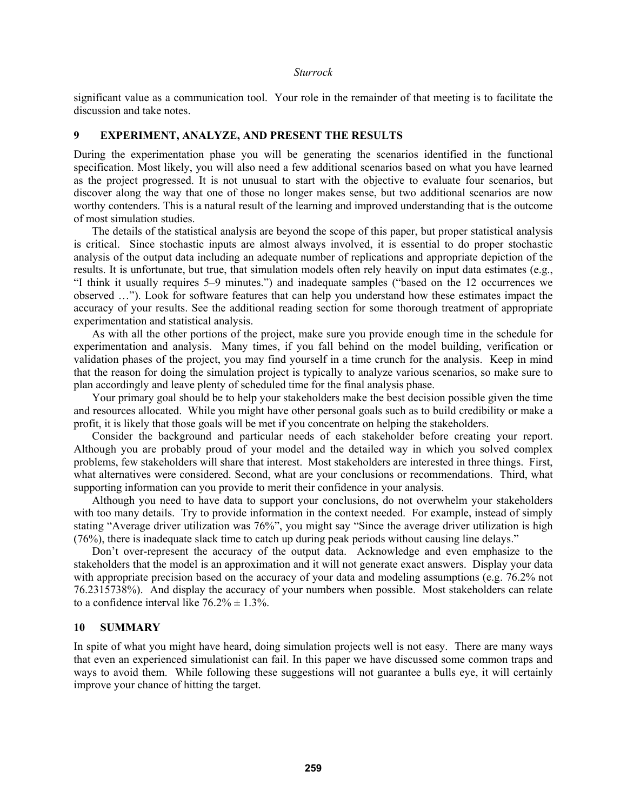significant value as a communication tool. Your role in the remainder of that meeting is to facilitate the discussion and take notes.

## **9 EXPERIMENT, ANALYZE, AND PRESENT THE RESULTS**

During the experimentation phase you will be generating the scenarios identified in the functional specification. Most likely, you will also need a few additional scenarios based on what you have learned as the project progressed. It is not unusual to start with the objective to evaluate four scenarios, but discover along the way that one of those no longer makes sense, but two additional scenarios are now worthy contenders. This is a natural result of the learning and improved understanding that is the outcome of most simulation studies.

The details of the statistical analysis are beyond the scope of this paper, but proper statistical analysis is critical. Since stochastic inputs are almost always involved, it is essential to do proper stochastic analysis of the output data including an adequate number of replications and appropriate depiction of the results. It is unfortunate, but true, that simulation models often rely heavily on input data estimates (e.g., "I think it usually requires 5–9 minutes.") and inadequate samples ("based on the 12 occurrences we observed …"). Look for software features that can help you understand how these estimates impact the accuracy of your results. See the additional reading section for some thorough treatment of appropriate experimentation and statistical analysis.

As with all the other portions of the project, make sure you provide enough time in the schedule for experimentation and analysis. Many times, if you fall behind on the model building, verification or validation phases of the project, you may find yourself in a time crunch for the analysis. Keep in mind that the reason for doing the simulation project is typically to analyze various scenarios, so make sure to plan accordingly and leave plenty of scheduled time for the final analysis phase.

Your primary goal should be to help your stakeholders make the best decision possible given the time and resources allocated. While you might have other personal goals such as to build credibility or make a profit, it is likely that those goals will be met if you concentrate on helping the stakeholders.

Consider the background and particular needs of each stakeholder before creating your report. Although you are probably proud of your model and the detailed way in which you solved complex problems, few stakeholders will share that interest. Most stakeholders are interested in three things. First, what alternatives were considered. Second, what are your conclusions or recommendations. Third, what supporting information can you provide to merit their confidence in your analysis.

Although you need to have data to support your conclusions, do not overwhelm your stakeholders with too many details. Try to provide information in the context needed. For example, instead of simply stating "Average driver utilization was 76%", you might say "Since the average driver utilization is high (76%), there is inadequate slack time to catch up during peak periods without causing line delays."

Don't over-represent the accuracy of the output data. Acknowledge and even emphasize to the stakeholders that the model is an approximation and it will not generate exact answers. Display your data with appropriate precision based on the accuracy of your data and modeling assumptions (e.g. 76.2% not 76.2315738%). And display the accuracy of your numbers when possible. Most stakeholders can relate to a confidence interval like  $76.2\% \pm 1.3\%$ .

#### **10 SUMMARY**

In spite of what you might have heard, doing simulation projects well is not easy. There are many ways that even an experienced simulationist can fail. In this paper we have discussed some common traps and ways to avoid them. While following these suggestions will not guarantee a bulls eye, it will certainly improve your chance of hitting the target.